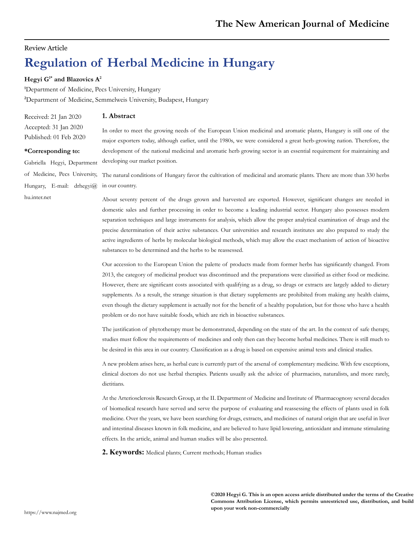### Review Article

# **Regulation of Herbal Medicine in Hungary**

#### **Hegyi G1\* and Blazovics A2**

**1** Department of Medicine, Pecs University, Hungary **2** Department of Medicine, Semmelweis University, Budapest, Hungary

Received: 21 Jan 2020 Accepted: 31 Jan 2020 Published: 01 Feb 2020

**\*Corresponding to:** 

Gabriella Hegyi, Department

#### **1. Abstract**

In order to meet the growing needs of the European Union medicinal and aromatic plants, Hungary is still one of the major exporters today, although earlier, until the 1980s, we were considered a great herb-growing nation. Therefore, the development of the national medicinal and aromatic herb growing sector is an essential requirement for maintaining and developing our market position.

of Medicine, Pecs University, The natural conditions of Hungary favor the cultivation of medicinal and aromatic plants. There are more than 330 herbs Hungary, E-mail: [drhegyi@](mailto:drhegyi@hu.inter.net) in our country.

[hu.inter.net](mailto:drhegyi@hu.inter.net)

About seventy percent of the drugs grown and harvested are exported. However, significant changes are needed in domestic sales and further processing in order to become a leading industrial sector. Hungary also possesses modern separation techniques and large instruments for analysis, which allow the proper analytical examination of drugs and the precise determination of their active substances. Our universities and research institutes are also prepared to study the active ingredients of herbs by molecular biological methods, which may allow the exact mechanism of action of bioactive substances to be determined and the herbs to be reassessed.

Our accession to the European Union the palette of products made from former herbs has significantly changed. From 2013, the category of medicinal product was discontinued and the preparations were classified as either food or medicine. However, there are significant costs associated with qualifying as a drug, so drugs or extracts are largely added to dietary supplements. As a result, the strange situation is that dietary supplements are prohibited from making any health claims, even though the dietary supplement is actually not for the benefit of a healthy population, but for those who have a health problem or do not have suitable foods, which are rich in bioactive substances.

The justification of phytotherapy must be demonstrated, depending on the state of the art. In the context of safe therapy, studies must follow the requirements of medicines and only then can they become herbal medicines. There is still much to be desired in this area in our country. Classification as a drug is based on expensive animal tests and clinical studies.

A new problem arises here, as herbal cure is currently part of the arsenal of complementary medicine. With few exceptions, clinical doctors do not use herbal therapies. Patients usually ask the advice of pharmacists, naturalists, and more rarely, dietitians.

At the Arteriosclerosis Research Group, at the II. Department of Medicine and Institute of Pharmacognosy several decades of biomedical research have served and serve the purpose of evaluating and reassessing the effects of plants used in folk medicine. Over the years, we have been searching for drugs, extracts, and medicines of natural origin that are useful in liver and intestinal diseases known in folk medicine, and are believed to have lipid lowering, antioxidant and immune stimulating effects. In the article, animal and human studies will be also presented.

**2. Keywords:** Medical plants; Current methods; Human studies

**©2020 Hegyi G. This is an open access article distributed under the terms of the Creative Commons Attribution License, which permits unrestricted use, distribution, and build upon your work non-commercially**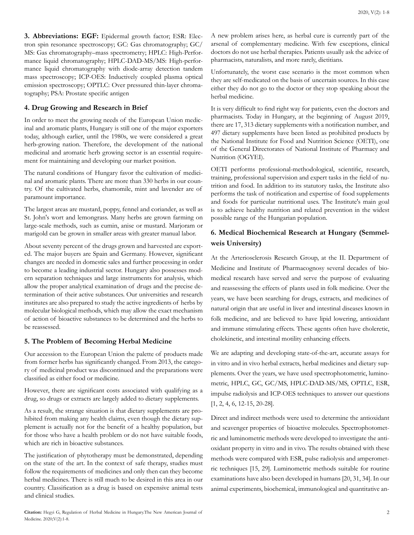**3. Abbreviations: EGF:** Epidermal growth factor; ESR: Electron spin resonance spectroscopy; GC: Gas chromatography; GC/ MS: Gas chromatography–mass spectrometry; HPLC: High-Performance liquid chromatography; HPLC-DAD-MS/MS: High-performance liquid chromatography with diode-array detection tandem mass spectroscopy; ICP-OES: Inductively coupled plasma optical emission spectroscopy; OPTLC: [Over pressured thin-layer chroma](https://www.sciencedirect.com/science/article/pii/S0021967300802101)[tography](https://www.sciencedirect.com/science/article/pii/S0021967300802101); PSA: Prostate specific antigen

### **4. Drug Growing and Research in Brief**

In order to meet the growing needs of the European Union medicinal and aromatic plants, Hungary is still one of the major exporters today, although earlier, until the 1980s, we were considered a great herb-growing nation. Therefore, the development of the national medicinal and aromatic herb growing sector is an essential requirement for maintaining and developing our market position.

The natural conditions of Hungary favor the cultivation of medicinal and aromatic plants. There are more than 330 herbs in our country. Of the cultivated herbs, chamomile, mint and lavender are of paramount importance.

The largest areas are mustard, poppy, fennel and coriander, as well as St. John's wort and lemongrass. Many herbs are grown farming on large-scale methods, such as cumin, anise or mustard. Marjoram or marigold can be grown in smaller areas with greater manual labor.

About seventy percent of the drugs grown and harvested are exported. The major buyers are Spain and Germany. However, significant changes are needed in domestic sales and further processing in order to become a leading industrial sector. Hungary also possesses modern separation techniques and large instruments for analysis, which allow the proper analytical examination of drugs and the precise determination of their active substances. Our universities and research institutes are also prepared to study the active ingredients of herbs by molecular biological methods, which may allow the exact mechanism of action of bioactive substances to be determined and the herbs to be reassessed.

#### **5. The Problem of Becoming Herbal Medicine**

Our accession to the European Union the palette of products made from former herbs has significantly changed. From 2013, the category of medicinal product was discontinued and the preparations were classified as either food or medicine.

However, there are significant costs associated with qualifying as a drug, so drugs or extracts are largely added to dietary supplements.

As a result, the strange situation is that dietary supplements are prohibited from making any health claims, even though the dietary supplement is actually not for the benefit of a healthy population, but for those who have a health problem or do not have suitable foods, which are rich in bioactive substances.

The justification of phytotherapy must be demonstrated, depending on the state of the art. In the context of safe therapy, studies must follow the requirements of medicines and only then can they become herbal medicines. There is still much to be desired in this area in our country. Classification as a drug is based on expensive animal tests and clinical studies.

A new problem arises here, as herbal cure is currently part of the arsenal of complementary medicine. With few exceptions, clinical doctors do not use herbal therapies. Patients usually ask the advice of pharmacists, naturalists, and more rarely, dietitians.

Unfortunately, the worst case scenario is the most common when they are self-medicated on the basis of uncertain sources. In this case either they do not go to the doctor or they stop speaking about the herbal medicine.

It is very difficult to find right way for patients, even the doctors and pharmacists. Today in Hungary, at the beginning of August 2019, there are 17, 313 dietary supplements with a notification number, and 497 dietary supplements have been listed as prohibited products by the National Institute for Food and Nutrition Science (OETI), one of the General Directorates of National Institute of Pharmacy and Nutrition (OGYEI).

OETI performs professional-methodological, scientific, research, training, professional supervision and expert tasks in the field of nutrition and food. In addition to its statutory tasks, the Institute also performs the task of notification and expertise of food supplements and foods for particular nutritional uses. The Institute's main goal is to achieve healthy nutrition and related prevention in the widest possible range of the Hungarian population.

## **6. Medical Biochemical Research at Hungary (Semmelweis University)**

At the Arteriosclerosis Research Group, at the II. Department of Medicine and Institute of Pharmacognosy several decades of biomedical research have served and serve the purpose of evaluating and reassessing the effects of plants used in folk medicine. Over the years, we have been searching for drugs, extracts, and medicines of natural origin that are useful in liver and intestinal diseases known in folk medicine, and are believed to have lipid lowering, antioxidant and immune stimulating effects. These agents often have choleretic, cholekinetic, and intestinal motility enhancing effects.

We are adapting and developing state-of-the-art, accurate assays for in vitro and in vivo herbal extracts, herbal medicines and dietary supplements. Over the years, we have used spectrophotometric, luminometric, HPLC, GC, GC/MS, HPLC-DAD-MS/MS, OPTLC, ESR, impulse radiolysis and ICP-OES techniques to answer our questions [1, 2, 4, 6, 12-15, 20-28].

Direct and indirect methods were used to determine the antioxidant and scavenger properties of bioactive molecules. Spectrophotometric and luminometric methods were developed to investigate the antioxidant property in vitro and in vivo. The results obtained with these methods were compared with ESR, pulse radiolysis and amperometric techniques [15, 29]. Luminometric methods suitable for routine examinations have also been developed in humans [20, 31, 34]. In our animal experiments, biochemical, immunological and quantitative an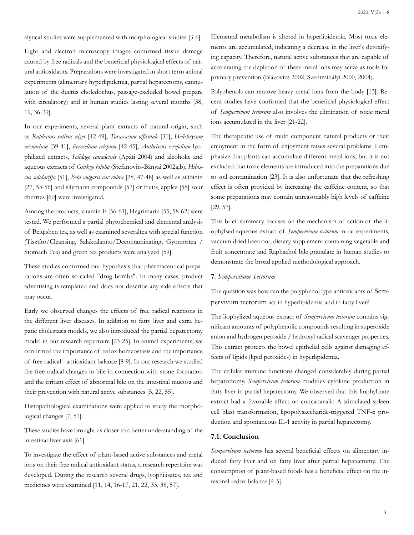alytical studies were supplemented with morphological studies [3-6].

Light and electron microscopy images confirmed tissue damage caused by free radicals and the beneficial physiological effects of natural antioxidants. Preparations were investigated in short term animal experiments (alimentary hyperlipidemia, partial hepatectomy, cannulation of the ductus choledochus, passage-excluded bowel prepare with circulatory) and in human studies lasting several months [38, 19, 36-39].

In our experiments, several plant extracts of natural origin, such as *Raphanus sativus niger* [42-49], *Taraxacum officinale* [31], *Helichrysum arenarium* [39-41], *Peroselium crispum* [42-45], *Anthriscus cerefolium* lyophilized extracts, *Solidago canadensis* (Apáti 2004) and alcoholic and aqueous extracts of *Ginkgo biloba* (Stefanovits-Bányai 2002a,b), *Hibiscus sabdariffa* [51], *Beta vulgaris var rubra* [28, 47-48] as well as silibinin [27, 53-56] and silymarin compounds [57] or fruits, apples [58] sour cherries [60] were investigated.

Among the products, vitamin E [56-61], Hegrimarin [55, 58-62] were tested. We performed a partial phytochemical and elemental analysis of Beiqishen tea, as well as examined severaltea with special function (Tisztíto/Cleansing, Salaktalaníto/Decontaminating, Gyomortea / Stomach Tea) and green tea products were analyzed [59].

These studies confirmed our hypothesis that pharmaceutical preparations are often so-called "drug bombs". In many cases, product advertising is templated and does not describe any side effects that may occur.

Early we observed changes the effects of free radical reactions in the different liver diseases. In addition to fatty liver and extra hepatic cholestasis models, we also introduced the partial hepatectomy model in our research repertoire [23-25]. In animal experiments, we confirmed the importance of redox homeostasis and the importance of free radical - antioxidant balance [8-9]. In our research we studied the free radical changes in bile in connection with stone formation and the irritant effect of abnormal bile on the intestinal mucosa and their prevention with natural active substances [5, 22, 55].

Histopathological examinations were applied to study the morphological changes [7, 51].

These studies have brought us closer to a better understanding of the intestinal-liver axis [61].

To investigate the effect of plant-based active substances and metal ions on their free radical antioxidant status, a research repertoire was developed. During the research several drugs, lyophilisates, tea and medicines were examined [11, 14, 16-17, 21, 22, 33, 38, 57].

Elemental metabolism is altered in hyperlipidemia. Most toxic elements are accumulated, indicating a decrease in the liver's detoxifying capacity. Therefore, natural active substances that are capable of accelerating the depletion of these metal ions may serve as tools for primary prevention (Blázovics 2002, Szentmihályi 2000, 2004).

Polyphenols can remove heavy metal ions from the body [13]. Recent studies have confirmed that the beneficial physiological effect of *Sempervivum tectorum* also involves the elimination of toxic metal ions accumulated in the liver [21-22].

The therapeutic use of multi component natural products or their enjoyment in the form of enjoyment raises several problems. I emphasize that plants can accumulate different metal ions, but it is not excluded that toxic elements are introduced into the preparations due to soil contamination [23]. It is also unfortunate that the refreshing effect is often provided by increasing the caffeine content, so that some preparations may contain unreasonably high levels of caffeine [29, 57].

This brief summary focuses on the mechanism of action of the liophylsed aqueous extract of *Sempervivum tectorum* in rat experiments, vacuum dried beetroot, dietary supplement containing vegetable and fruit concentrate and Raphachol bile granulate in human studies to demonstrate the broad applied methodological approach.

#### **7**. *Sempervivum Tectorum*

The question was how can the polyphenol type antioxidants of Sempervivum tectorum act in hyperlipidemia and in fatty liver?

The liophylized aqueous extract of *Sempervivum tectorum* contains significant amounts of polyphenolic compounds resulting in superoxide anion and hydrogen peroxide / hydroxyl radical scavenger properties. This extract protects the bowel epithelial cells against damaging effects of lipids (lipid peroxides) in hyperlipidemia.

The cellular immune functions changed considerably during partial hepatectomy. *Sempervivum tectorum* modifies cytokine production in fatty liver in partial hepatectomy. We observed that this liophylizate extract had a favorable effect on concanavalin-A-stimulated spleen cell blast transformation, lipopolysaccharide-triggered TNF-α production and spontaneous IL-1 activity in partial hepatectomy.

#### **7.1. Conclusion**

*Sempervivum tectorum* has several beneficial effects on alimentary induced fatty liver and on fatty liver after partial hepatectomy. The consumption of plant-based foods has a beneficial effect on the intestinal redox balance [4-5].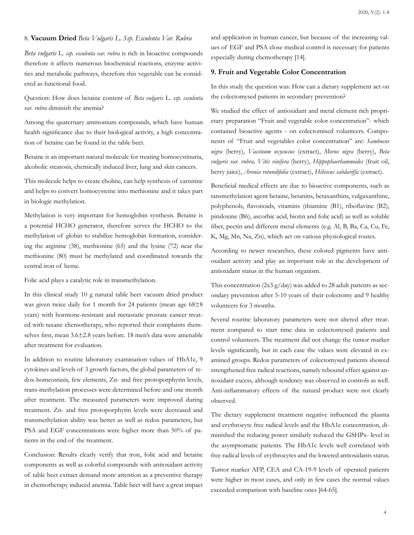#### 8. **Vacuum Dried** *Beta Vulgaris L. Ssp. Esculenta Var. Rubra*

*Beta vulgaris* L. *ssp. esculenta var. rubra* is rich in bioactive compounds therefore it affects numerous biochemical reactions, enzyme activities and metabolic pathways, therefore this vegetable can be considered as functional food.

Question: How does betaine content of *Beta vulgaris* L. *ssp. esculenta var. rubra* diminish the anemia?

Among the quaternary ammonium compounds, which have human health significance due to their biological activity, a high concentration of betaine can be found in the table beet.

Betaine is an important natural molecule for treating homocystinuria, alcoholic steatosis, chemically induced liver, lung and skin cancers.

This molecule helps to create choline, can help synthesis of carnitine and helps to convert homocysteine into methionine and it takes part in biologic methylation.

Methylation is very important for hemoglobin synthesis. Betaine is a potential HCHO generator, therefore serves the HCHO to the methylation of globin to stabilize hemoglobin formation, considering the arginine (38), methionine (65) and the lysine (72) near the methionine (80) must be methylated and coordinated towards the central iron of heme.

Folic acid plays a catalytic role in transmethylation.

In this clinical study 10 g natural table beet vacuum dried product was given twice daily for 1 month for 24 patients (mean age 68 $\pm$ 8 years) with hormone-resistant and metastatic prostate cancer treated with taxane chemotherapy, who reported their complaints themselves first, mean 3.6±2.8 years before. 18 men's data were amenable after treatment for evaluation.

In addition to routine laboratory examination values of HbA1c, 9 cytokines and levels of 3 growth factors, the global parameters of redox-homeostasis, few elements, Zn- and free protoporphyrin levels, trans-methylation processes were determined before and one month after treatment. The measured parameters were improved during treatment. Zn- and free protoporphyrin levels were decreased and transmethylation ability was better as well as redox parameters, but PSA and EGF concentrations were higher more than 50% of patients in the end of the treatment.

Conclusion: Results clearly verify that iron, folic acid and betaine components as well as colorful compounds with antioxidant activity of table beet extract demand more attention as a preventive therapy in chemotherapy induced anemia. Table beet will have a great impact and application in human cancer, but because of the increasing values of EGF and PSA close medical control is necessary for patients especially during chemotherapy [14].

#### **9. Fruit and Vegetable Color Concentration**

In this study the question was: How can a dietary supplement act on the colectomysed patients in secondary prevention?

We studied the effect of antioxidant and metal element rich proprietary preparation "Fruit and vegetable color concentration"- which contained bioactive agents - on colectomised volunteers. Components of "Fruit and vegetables color concentration" are: *Sambucus nigra* (berry), *Vaccinum oxycoccus* (extract), *Morus nigra* (berry), *Beta vulgaris var. rubra, Vitis vinifera* (berry), *Hippophaerhamnoides* (fruit oil, berry juice), *Aronia rotundifolia* (extract), *Hibiscus sabdariffa* (extract).

Beneficial medical effects are due to bioactive components, such as tansmethylation agent betaine, betanins, betaxanthins, vulgaxanthine, polyphenols, flavonoids, vitamins (thiamine (B1), riboflavine (B2), piridoxine (B6), ascorbic acid, biotin and folic acid) as well as soluble fiber, pectin and different metal elements (e.g. Al, B, Ba, Ca, Cu, Fe, K, Mg, Mn, Na, Zn), which act on various physiological routes.

According to newer researches, these colored pigments have antioxidant activity and play an important role in the development of antioxidant status in the human organism.

This concentration  $(2x3 g/day)$  was added to 28 adult patients as secondary prevention after 5-10 years of their colectomy and 9 healthy volunteers for 3 months.

Several routine laboratory parameters were not altered after treatment compared to start time data in colectomysed patients and control volunteers. The treatment did not change the tumor marker levels significantly, but in each case the values were elevated in examined groups. Redox parameters of colectomysed patients showed strengthened free radical reactions, namely rebound effect against antioxidant excess, although tendency was observed in controls as well. Anti-inflammatory effects of the natural product were not clearly observed.

The dietary supplement treatment negative influenced the plasma and erythrocyte free radical levels and the HbA1c concentration, diminished the reducing power similarly reduced the GSHPx- level in the asymptomatic patients. The HbA1c levels well correlated with free radical levels of erythrocytes and the lowered antioxidants status.

Tumor marker AFP, CEA and CA-19-9 levels of operated patients were higher in most cases, and only in few cases the normal values exceeded comparison with baseline ones [64-65].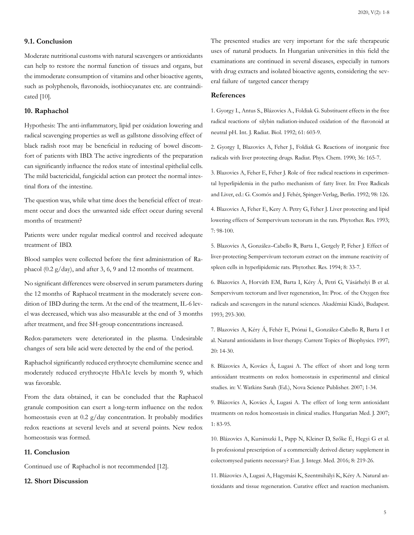#### **9.1. Conclusion**

Moderate nutritional customs with natural scavengers or antioxidants can help to restore the normal function of tissues and organs, but the immoderate consumption of vitamins and other bioactive agents, such as polyphenols, flavonoids, isothiocyanates etc. are contraindicated [10].

#### **10. Raphachol**

Hypothesis: The anti-inflammatory, lipid per oxidation lowering and radical scavenging properties as well as gallstone dissolving effect of black radish root may be beneficial in reducing of bowel discomfort of patients with IBD. The active ingredients of the preparation can significantly influence the redox state of intestinal epithelial cells. The mild bactericidal, fungicidal action can protect the normal intestinal flora of the intestine.

The question was, while what time does the beneficial effect of treatment occur and does the unwanted side effect occur during several months of treatment?

Patients were under regular medical control and received adequate treatment of IBD.

Blood samples were collected before the first administration of Raphacol (0.2 g/day), and after 3, 6, 9 and 12 months of treatment.

No significant differences were observed in serum parameters during the 12 months of Raphacol treatment in the moderately severe condition of IBD during the term. At the end of the treatment, IL-6 level was decreased, which was also measurable at the end of 3 months after treatment, and free SH-group concentrations increased.

Redox-parameters were deteriorated in the plasma. Undesirable changes of sera bile acid were detected by the end of the period.

Raphachol significantly reduced erythrocyte chemilumine scence and moderately reduced erythrocyte HbA1c levels by month 9, which was favorable.

From the data obtained, it can be concluded that the Raphacol granule composition can exert a long-term influence on the redox homeostasis even at 0.2 g/day concentration. It probably modifies redox reactions at several levels and at several points. New redox homeostasis was formed.

#### **11. Conclusion**

Continued use of Raphachol is not recommended [12].

#### **12. Short Discussion**

The presented studies are very important for the safe therapeutic uses of natural products. In Hungarian universities in this field the examinations are continued in several diseases, especially in tumors with drug extracts and isolated bioactive agents, considering the several failure of targeted cancer therapy

#### **References**

1. Gyorgy I., Antus S., Blázovics A., Foldiak G. Substituent effects in the free radical reactions of silybin radiation-induced oxidation of the flavonoid at neutral pH. Int. J. Radiat. Biol. 1992; 61: 603-9.

2. Gyorgy I, Blazovics A, Feher J., Foldiak G. Reactions of inorganic free radicals with liver protecting drugs. Radiat. Phys. Chem. 1990; 36: 165-7.

3. Blazovics A, Feher E, Feher J. Role of free radical reactions in experimental hyperlipidemia in the patho mechanism of fatty liver. In: Free Radicals and Liver, ed.: G. Csomós and J. Fehér, Spinger-Verlag, Berlin. 1992; 98: 126.

4. Blazovics A, Feher E, Kery A. Petry G, Feher J. Liver protecting and lipid lowering effects of Sempervivum tectorum in the rats. Phytother. Res. 1993; 7: 98-100.

5. Blazovics A, González–Cabello R, Barta I., Gergely P, Feher J. Effect of liver-protecting Sempervivum tectorum extract on the immune reactivity of spleen cells in hyperlipidemic rats. Phytother. Res. 1994; 8: 33-7.

6. Blazovics A, Horváth EM, Barta I, Kéry Á, Petri G, Vásárhelyi B et al. Sempervivum tectorum and liver regeneration, In: Proc. of the Oxygen free radicals and scavengers in the natural sciences. Akadémiai Kiadó, Budapest. 1993; 293-300.

7. Blazovics A, Kéry Á, Fehér E, Prónai L, González-Cabello R, Barta I et al. Natural antioxidants in liver therapy. Current Topics of Biophysics. 1997; 20: 14-30.

8. Blázovics A, Kovács Á, Lugasi A. The effect of short and long term antioxidant treatments on redox homeostasis in experimental and clinical studies. in: V. Watkins Sarah (Ed.), Nova Science Publisher. 2007; 1-34.

9. Blázovics A, Kovács Á, Lugasi A. The effect of long term antioxidant treatments on redox homeostasis in clinical studies. Hungarian Med. J. 2007; 1: 83-95.

10. Blázovics A, Kursinszki L, Papp N, Kleiner D, Szőke É, Hegyi G et al. Is professional prescription of a commercially derived dietary supplement in colectomysed patients necessary? Eur. J. Integr. Med. 2016; 8: 219-26.

11. Blázovics A, Lugasi A, Hagymási K, Szentmihályi K, Kéry A. Natural antioxidants and tissue regeneration. Curative effect and reaction mechanism.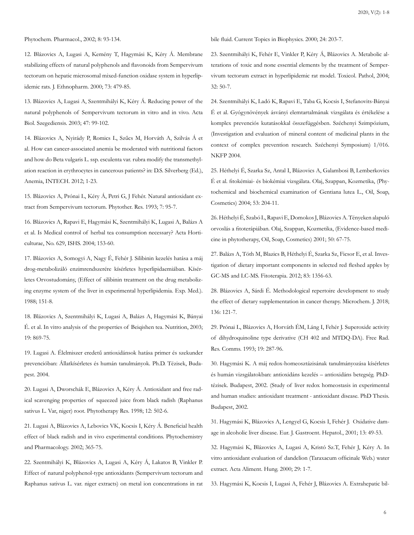#### Phytochem. Pharmacol., 2002; 8: 93-134.

12. Blázovics A, Lugasi A, Kemény T, Hagymási K, Kéry Á. Membrane stabilizing effects of natural polyphenols and flavonoids from Sempervivum tectorum on hepatic microsomal mixed-function oxidase system in hyperlipidemic rats. J. Ethnopharm. 2000; 73: 479-85.

13. Blázovics A, Lugasi A, Szentmihályi K, Kéry Á. Reducing power of the natural polyphenols of Sempervivum tectorum in vitro and in vivo. Acta Biol. Szegediensis. 2003; 47: 99-102.

14. Blázovics A, Nyirády P, Romics L, Szűcs M, Horváth A, Szilvás Á et al. How can cancer-associated anemia be moderated with nutritional factors and how do Beta vulgaris L. ssp. esculenta var. rubra modify the transmethylation reaction in erythrocytes in cancerous patients? in: D.S. Silverberg (Ed.), Anemia, INTECH. 2012; 1-23.

15. Blázovics A, Prónai L, Kéry Á, Petri G, J Fehér. Natural antioxidant extract from Sempervivum tectorum. Phytother. Res. 1993; 7: 95-7.

16. Blázovics A, Rapavi E, Hagymási K, Szentmihályi K, Lugasi A, Balázs A et al. Is Medical control of herbal tea consumption necessary? Acta Horticulturae, No. 629, ISHS. 2004; 153-60.

17. Blázovics A, Somogyi A, Nagy É, Fehér J. Silibinin kezelés hatása a máj drog-metabolizáló enzimrendszerére kísérletes hyperlipidaemiában. Kísérletes Orvostudomány, (Effect of silibinin treatment on the drug metabolizing enzyme system of the liver in experimental hyperlipidemia. Exp. Med.). 1988; 151-8.

18. Blázovics A, Szentmihályi K, Lugasi A, Balázs A, Hagymási K, Bányai É. et al. In vitro analysis of the properties of Beiqishen tea. Nutrition, 2003; 19: 869-75.

19. Lugasi A. Élelmiszer eredetű antioxidánsok hatása primer és szekunder prevencióban: Állatkísérletes és humán tanulmányok. Ph.D. Tézisek, Budapest. 2004.

20. Lugasi A, Dworschák E, Blázovics A, Kéry Á. Antioxidant and free radical scavenging properties of squeezed juice from black radish (Raphanus sativus L. Var, niger) root. Phytotherapy Res. 1998; 12: 502-6.

21. Lugasi A, Blázovics A, Lebovics VK, Kocsis I, Kéry Á. Beneficial health effect of black radish and in vivo experimental conditions. Phytochemistry and Pharmacology. 2002; 365-75.

22. Szentmihályi K, Blázovics A, Lugasi A, Kéry Á, Lakatos B, Vinkler P. Effect of natural polyphenol-type antioxidants (Sempervivum tectorum and Raphanus sativus L. var. niger extracts) on metal ion concentrations in rat bile fluid. Current Topics in Biophysics. 2000; 24: 203-7.

23. Szentmihályi K, Fehér E, Vinkler P, Kéry Á, Blázovics A. Metabolic alterations of toxic and none essential elements by the treatment of Sempervivum tectorum extract in hyperlipidemic rat model. Toxicol. Pathol, 2004; 32: 50-7.

24. Szentmihályi K, Ladó K, Rapavi E, Taba G, Kocsis I, Stefanovits-Bányai É et al. Gyógynövények ásványi elemtartalmának vizsgálata és értékelése a komplex prevenciós kutatásokkal összefüggésben. Széchenyi Szimpózium, (Investigation and evaluation of mineral content of medicinal plants in the context of complex prevention research. Széchenyi Symposium) 1/016. NKFP 2004.

25. Héthelyi É, Szarka Sz, Antal I, Blázovics A, Galambosi B, Lemberkovics É et al. fitokémiai- és biokémiai vizsgálata. Olaj, Szappan, Kozmetika, (Phytochemical and biochemical examination of Gentiana lutea L., Oil, Soap, Cosmetics) 2004; 53: 204-11.

26. Héthelyi É, Szabó L, Rapavi E, Domokos J, Blázovics A. Tényeken alapuló orvoslás a fitoterápiában. Olaj, Szappan, Kozmetika, (Evidence-based medicine in phytotherapy, Oil, Soap, Cosmetics) 2001; 50: 67-75.

27. Balázs A, Tóth M, Blazics B, Héthelyi É, Szarka Sz, Ficsor E, et al. Investigation of dietary important components in selected red fleshed apples by GC-MS and LC-MS. Fitoterapia. 2012; 83: 1356-63.

28. Blázovics A, Sárdi É. Methodological repertoire development to study the effect of dietary supplementation in cancer therapy. Microchem. J. 2018; 136: 121-7.

29. Prónai L, Blázovics A, Horváth ÉM, Láng I, Fehér J. Superoxide activity of dihydroquinoline type derivative (CH 402 and MTDQ-DA). Free Rad. Res. Comms. 1993; 19: 287-96.

30. Hagymási K. A máj redox-homeosztázisának tanulmányozása kísérletes és humán vizsgálatokban: antioxidáns kezelés – antioxidáns betegség. PhDtézisek. Budapest, 2002. (Study of liver redox homeostasis in experimental and human studies: antioxidant treatment - antioxidant disease. PhD Thesis. Budapest, 2002.

31. Hagymási K, Blázovics A, Lengyel G, Kocsis I, Fehér J. Oxidative damage in alcoholic liver disease. Eur. J. Gastroent. Hepatol., 2001; 13: 49-53.

32. Hagymási K, Blázovics A, Lugasi A, Kristó Sz.T, Fehér J, Kéry A. In vitro antioxidant evaluation of dandelion (Taraxacum officinale Web.) water extract. Acta Aliment. Hung. 2000; 29: 1-7.

33. Hagymási K, Kocsis I, Lugasi A, Fehér J, Blázovics A. Extrahepatic bil-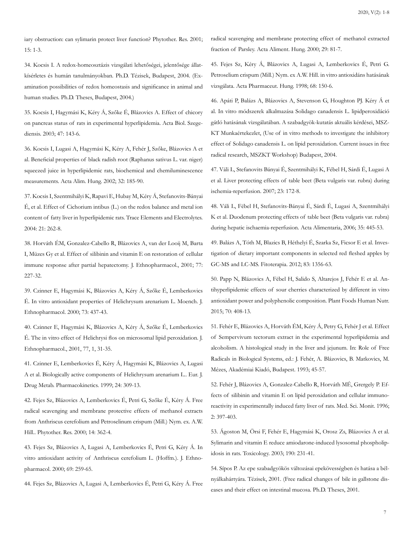iary obstruction: can sylimarin protect liver function? Phytother. Res. 2001; 15: 1-3.

34. Kocsis I. A redox-homeosztázis vizsgálati lehetőségei, jelentősége állatkísérletes és humán tanulmányokban. Ph.D. Tézisek, Budapest, 2004. (Examination possibilities of redox homeostasis and significance in animal and human studies. Ph.D. Theses, Budapest, 2004.)

35. Kocsis I, Hagymási K, Kéry Á, Szőke É, Blázovics A. Effect of chicory on pancreas status of rats in experimental hyperlipidemia. Acta Biol. Szegediensis. 2003; 47: 143-6.

36. Kocsis I, Lugasi A, Hagymási K, Kéry A, Fehér J, Szőke, Blázovics A et al. Beneficial properties of black radish root (Raphanus sativus L. var. niger) squeezed juice in hyperlipidemic rats, biochemical and chemiluminescence measurements. Acta Alim. Hung. 2002; 32: 185-90.

37. Kocsis I, Szentmihályi K, Rapavi E, Hubay M, Kéry Á, Stefanovits-Bányai É, et al. Effect of Cichorium intibus (L.) on the redox balance and metal ion content of fatty liver in hyperlipidemic rats. Trace Elements and Electrolytes. 2004: 21: 262-8.

38. Horváth ÉM, Gonzalez-Cabello R, Blázovics A, van der Looij M, Barta I, Müzes Gy et al. Effect of silibinin and vitamin E on restoration of cellular immune response after partial hepatectomy. J. Ethnopharmacol., 2001; 77: 227-32.

39. Czinner E, Hagymási K, Blázovics A, Kéry Á, Szőke É, Lemberkovics É. In vitro antioxidant properties of Helichrysum arenarium L. Moench. J. Ethnopharmacol. 2000; 73: 437-43.

40. Czinner E, Hagymási K, Blázovics A, Kéry Á, Szőke É, Lemberkovics É. The in vitro effect of Helichrysi flos on microsomal lipid peroxidation. J. Ethnopharmacol., 2001, 77, 1, 31-35.

41. Czinner E, Lemberkovics É, Kéry Á, Hagymási K, Blázovics A, Lugasi A et al. Biologically active components of Helichrysum arenarium L.. Eur. J. Drug Metab. Pharmacokinetics. 1999; 24: 309-13.

42. Fejes Sz, Blázovics A, Lemberkovics É, Petri G, Szőke É, Kéry Á. Free radical scavenging and membrane protective effects of methanol extracts from Anthriscus cerefolium and Petroselinum crispum (Mill.) Nym. ex. A.W. Hill.. Phytother. Res. 2000; 14: 362-4.

43. Fejes Sz, Blázovics A, Lugasi A, Lemberkovics É, Petri G, Kéry Á. In vitro antioxidant activity of Anthriscus cerefolium L. (Hoffm.). J. Ethnopharmacol. 2000; 69: 259-65.

44. Fejes Sz, Blázovics A, Lugasi A, Lemberkovics É, Petri G, Kéry Á. Free

radical scavenging and membrane protecting effect of methanol extracted fraction of Parsley. Acta Aliment. Hung. 2000; 29: 81-7.

45. Fejes Sz, Kéry Á, Blázovics A, Lugasi A, Lemberkovics É, Petri G. Petroselium crispum (Mill.) Nym. ex A.W. Hill. in vitro antioxidáns hatásának vizsgálata. Acta Pharmaceut. Hung. 1998; 68: 150-6.

46. Apáti P, Balázs A, Blázovics A, Stevenson G, Houghton PJ. Kéry Á et al. In vitro módszerek alkalmazása Solidago canadensis L. lipidperoxidáció gátló hatásának vizsgálatában. A szabadgyök-kutatás aktuális kérdései, MSZ-KT Munkaértekezlet, (Use of in vitro methods to investigate the inhibitory effect of Solidago canadensis L. on lipid peroxidation. Current issues in free radical research, MSZKT Workshop) Budapest, 2004.

47. Váli L, Stefanovits Bányai É, Szentmihályi K, Fébel H, Sárdi É, Lugasi A et al. Liver protecting effects of table beet (Beta vulgaris var. rubra) during ischemia-reperfusion. 2007; 23: 172-8.

48. Váli L, Fébel H, Stefanovits-Bányai É, Sárdi É, Lugasi A, Szentmihályi K et al. Duodenum protecting effects of table beet (Beta vulgaris var. rubra) during hepatic ischaemia-reperfusion. Acta Alimentaria, 2006; 35: 445-53.

49. Balázs A, Tóth M, Blazics B, Héthelyi É, Szarka Sz, Ficsor E et al. Investigation of dietary important components in selected red fleshed apples by GC-MS and LC-MS. Fitoterapia. 2012; 83: 1356-63.

50. Papp N, Blázovics A, Fébel H, Salido S, Altarejos J, Fehér E et al. Antihyperlipidemic effects of sour cherries characterized by different in vitro antioxidant power and polyphenolic composition. Plant Foods Human Nutr. 2015; 70: 408-13.

51. Fehér E, Blázovics A, Horváth ÉM, Kéry Á, Petry G, Fehér J et al. Effect of Sempervivum tectorum extract in the experimental hyperlipidemia and alcoholism. A histological study in the liver and jejunum. In: Role of Free Radicals in Biological Systems, ed.: J. Fehér, A. Blázovics, B. Matkovics, M. Mézes, Akadémiai Kiadó, Budapest. 1993; 45-57.

52. Fehér J, Blázovics A, Gonzalez-Cabello R, Horváth MÉ, Grergely P. Effects of silibinin and vitamin E on lipid peroxidation and cellular immunoreactivity in experimentally induced fatty liver of rats. Med. Sci. Monit. 1996; 2: 397-403.

53. Ágoston M, Örsi F, Fehér E, Hagymási K, Orosz Zs, Blázovics A et al. Sylimarin and vitamin E reduce amiodarone-induced lysosomal phospholipidosis in rats. Toxicology. 2003; 190: 231-41.

54. Sípos P. Az epe szabadgyökös változásai epekövességben és hatása a bélnyálkahártyára. Tézisek, 2001. (Free radical changes of bile in gallstone diseases and their effect on intestinal mucosa. Ph.D. Theses, 2001.